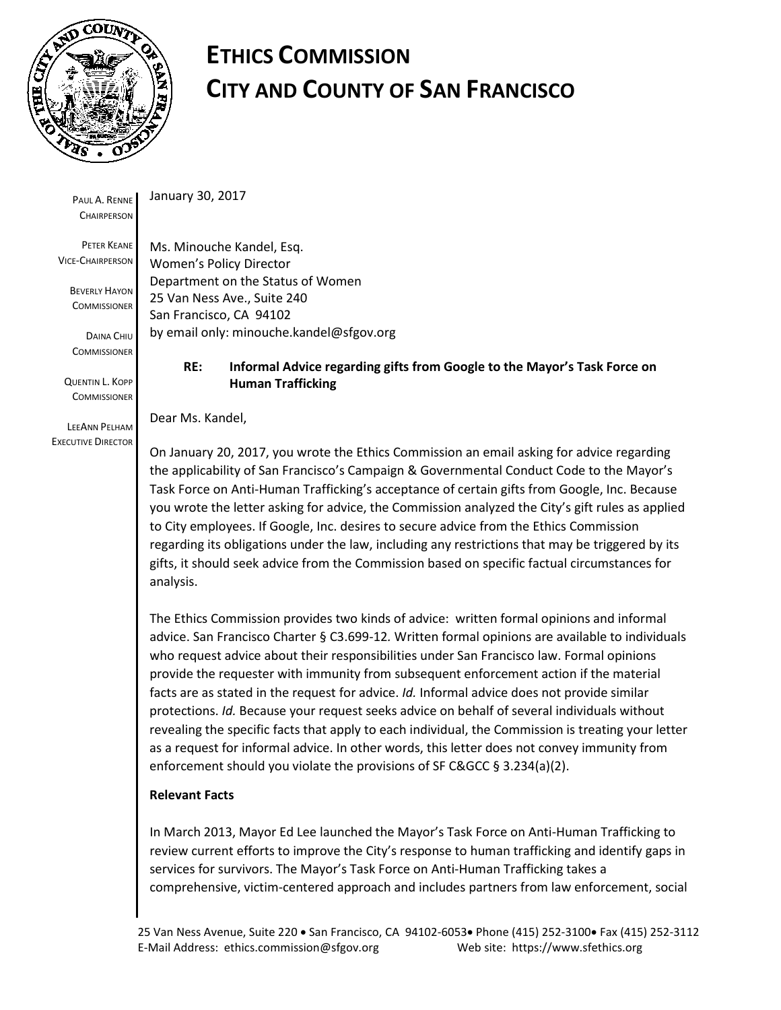

# **ETHICS COMMISSION CITY AND COUNTY OF SAN FRANCISCO**

PAUL A. RENNE **CHAIRPERSON** 

PETER KEANE VICE-CHAIRPERSON

> BEVERLY HAYON **COMMISSIONER**

DAINA CHIU **COMMISSIONER** 

QUENTIN L. KOPP **COMMISSIONER** 

LEEANN PELHAM EXECUTIVE DIRECTOR January 30, 2017

Ms. Minouche Kandel, Esq. Women's Policy Director Department on the Status of Women 25 Van Ness Ave., Suite 240 San Francisco, CA 94102 by email only: minouche.kandel@sfgov.org

## **RE: Informal Advice regarding gifts from Google to the Mayor's Task Force on Human Trafficking**

Dear Ms. Kandel,

On January 20, 2017, you wrote the Ethics Commission an email asking for advice regarding the applicability of San Francisco's Campaign & Governmental Conduct Code to the Mayor's Task Force on Anti-Human Trafficking's acceptance of certain gifts from Google, Inc. Because you wrote the letter asking for advice, the Commission analyzed the City's gift rules as applied to City employees. If Google, Inc. desires to secure advice from the Ethics Commission regarding its obligations under the law, including any restrictions that may be triggered by its gifts, it should seek advice from the Commission based on specific factual circumstances for analysis.

The Ethics Commission provides two kinds of advice: written formal opinions and informal advice. San Francisco Charter § C3.699-12*.* Written formal opinions are available to individuals who request advice about their responsibilities under San Francisco law. Formal opinions provide the requester with immunity from subsequent enforcement action if the material facts are as stated in the request for advice. *Id.* Informal advice does not provide similar protections. *Id.* Because your request seeks advice on behalf of several individuals without revealing the specific facts that apply to each individual, the Commission is treating your letter as a request for informal advice. In other words, this letter does not convey immunity from enforcement should you violate the provisions of SF C&GCC § 3.234(a)(2).

#### **Relevant Facts**

In March 2013, Mayor Ed Lee launched the Mayor's Task Force on Anti-Human Trafficking to review current efforts to improve the City's response to human trafficking and identify gaps in services for survivors. The Mayor's Task Force on Anti-Human Trafficking takes a comprehensive, victim-centered approach and includes partners from law enforcement, social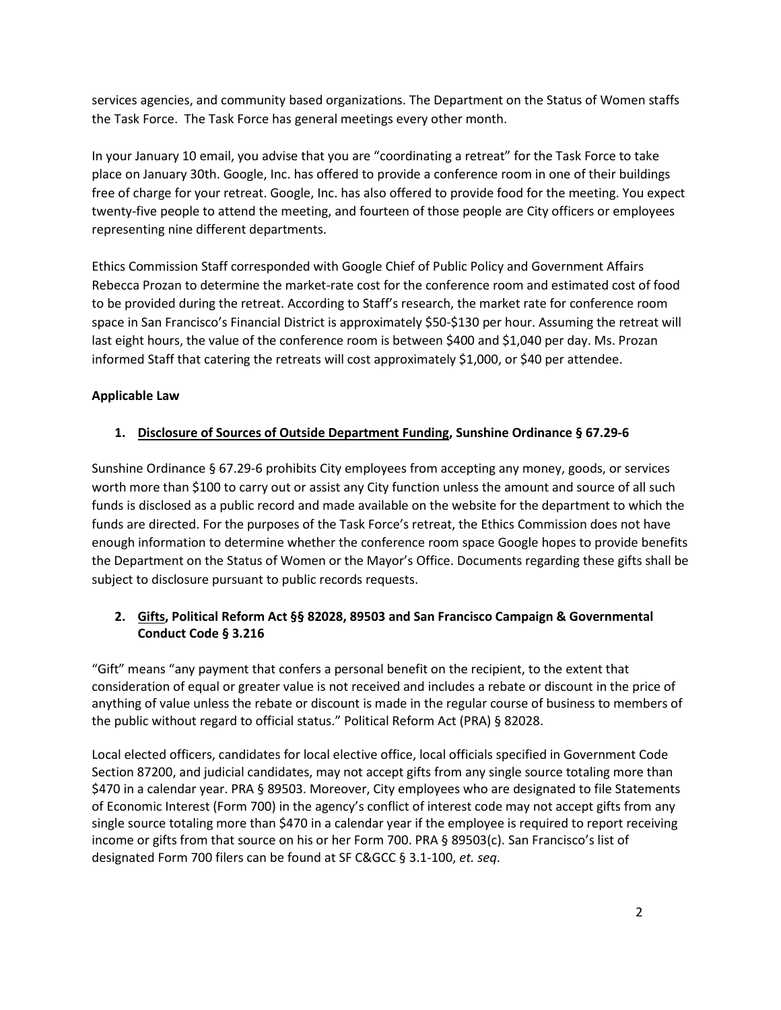services agencies, and community based organizations. The Department on the Status of Women staffs the Task Force. The Task Force has general meetings every other month.

In your January 10 email, you advise that you are "coordinating a retreat" for the Task Force to take place on January 30th. Google, Inc. has offered to provide a conference room in one of their buildings free of charge for your retreat. Google, Inc. has also offered to provide food for the meeting. You expect twenty-five people to attend the meeting, and fourteen of those people are City officers or employees representing nine different departments.

Ethics Commission Staff corresponded with Google Chief of Public Policy and Government Affairs Rebecca Prozan to determine the market-rate cost for the conference room and estimated cost of food to be provided during the retreat. According to Staff's research, the market rate for conference room space in San Francisco's Financial District is approximately \$50-\$130 per hour. Assuming the retreat will last eight hours, the value of the conference room is between \$400 and \$1,040 per day. Ms. Prozan informed Staff that catering the retreats will cost approximately \$1,000, or \$40 per attendee.

#### **Applicable Law**

## **1. Disclosure of Sources of Outside Department Funding, Sunshine Ordinance § 67.29-6**

Sunshine Ordinance § 67.29-6 prohibits City employees from accepting any money, goods, or services worth more than \$100 to carry out or assist any City function unless the amount and source of all such funds is disclosed as a public record and made available on the website for the department to which the funds are directed. For the purposes of the Task Force's retreat, the Ethics Commission does not have enough information to determine whether the conference room space Google hopes to provide benefits the Department on the Status of Women or the Mayor's Office. Documents regarding these gifts shall be subject to disclosure pursuant to public records requests.

## **2. Gifts, Political Reform Act §§ 82028, 89503 and San Francisco Campaign & Governmental Conduct Code § 3.216**

"Gift" means "any payment that confers a personal benefit on the recipient, to the extent that consideration of equal or greater value is not received and includes a rebate or discount in the price of anything of value unless the rebate or discount is made in the regular course of business to members of the public without regard to official status." Political Reform Act (PRA) § 82028.

Local elected officers, candidates for local elective office, local officials specified in Government Code Section 87200, and judicial candidates, may not accept gifts from any single source totaling more than \$470 in a calendar year. PRA § 89503. Moreover, City employees who are designated to file Statements of Economic Interest (Form 700) in the agency's conflict of interest code may not accept gifts from any single source totaling more than \$470 in a calendar year if the employee is required to report receiving income or gifts from that source on his or her Form 700. PRA § 89503(c). San Francisco's list of designated Form 700 filers can be found at SF C&GCC § 3.1-100, *et. seq*.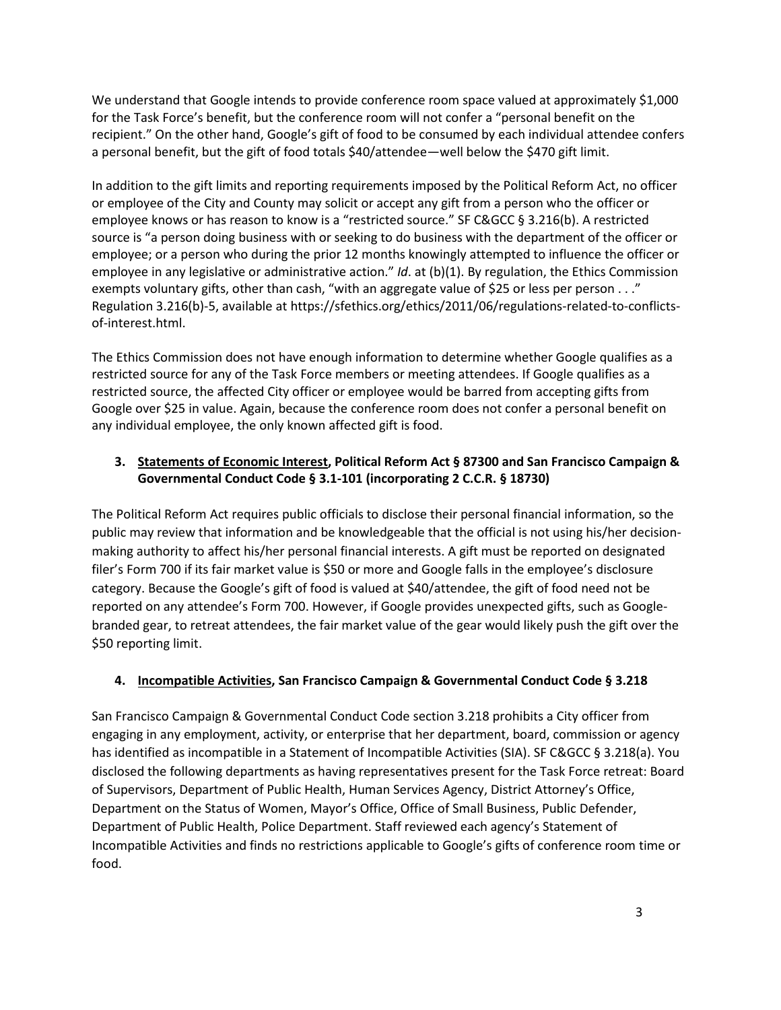We understand that Google intends to provide conference room space valued at approximately \$1,000 for the Task Force's benefit, but the conference room will not confer a "personal benefit on the recipient." On the other hand, Google's gift of food to be consumed by each individual attendee confers a personal benefit, but the gift of food totals \$40/attendee—well below the \$470 gift limit.

In addition to the gift limits and reporting requirements imposed by the Political Reform Act, no officer or employee of the City and County may solicit or accept any gift from a person who the officer or employee knows or has reason to know is a "restricted source." SF C&GCC § 3.216(b). A restricted source is "a person doing business with or seeking to do business with the department of the officer or employee; or a person who during the prior 12 months knowingly attempted to influence the officer or employee in any legislative or administrative action." *Id*. at (b)(1). By regulation, the Ethics Commission exempts voluntary gifts, other than cash, "with an aggregate value of \$25 or less per person . . ." Regulation 3.216(b)-5, available at https://sfethics.org/ethics/2011/06/regulations-related-to-conflictsof-interest.html.

The Ethics Commission does not have enough information to determine whether Google qualifies as a restricted source for any of the Task Force members or meeting attendees. If Google qualifies as a restricted source, the affected City officer or employee would be barred from accepting gifts from Google over \$25 in value. Again, because the conference room does not confer a personal benefit on any individual employee, the only known affected gift is food.

## **3. Statements of Economic Interest, Political Reform Act § 87300 and San Francisco Campaign & Governmental Conduct Code § 3.1-101 (incorporating 2 C.C.R. § 18730)**

The Political Reform Act requires public officials to disclose their personal financial information, so the public may review that information and be knowledgeable that the official is not using his/her decisionmaking authority to affect his/her personal financial interests. A gift must be reported on designated filer's Form 700 if its fair market value is \$50 or more and Google falls in the employee's disclosure category. Because the Google's gift of food is valued at \$40/attendee, the gift of food need not be reported on any attendee's Form 700. However, if Google provides unexpected gifts, such as Googlebranded gear, to retreat attendees, the fair market value of the gear would likely push the gift over the \$50 reporting limit.

#### **4. Incompatible Activities, San Francisco Campaign & Governmental Conduct Code § 3.218**

San Francisco Campaign & Governmental Conduct Code section 3.218 prohibits a City officer from engaging in any employment, activity, or enterprise that her department, board, commission or agency has identified as incompatible in a Statement of Incompatible Activities (SIA). SF C&GCC § 3.218(a). You disclosed the following departments as having representatives present for the Task Force retreat: Board of Supervisors, Department of Public Health, Human Services Agency, District Attorney's Office, Department on the Status of Women, Mayor's Office, Office of Small Business, Public Defender, Department of Public Health, Police Department. Staff reviewed each agency's Statement of Incompatible Activities and finds no restrictions applicable to Google's gifts of conference room time or food.